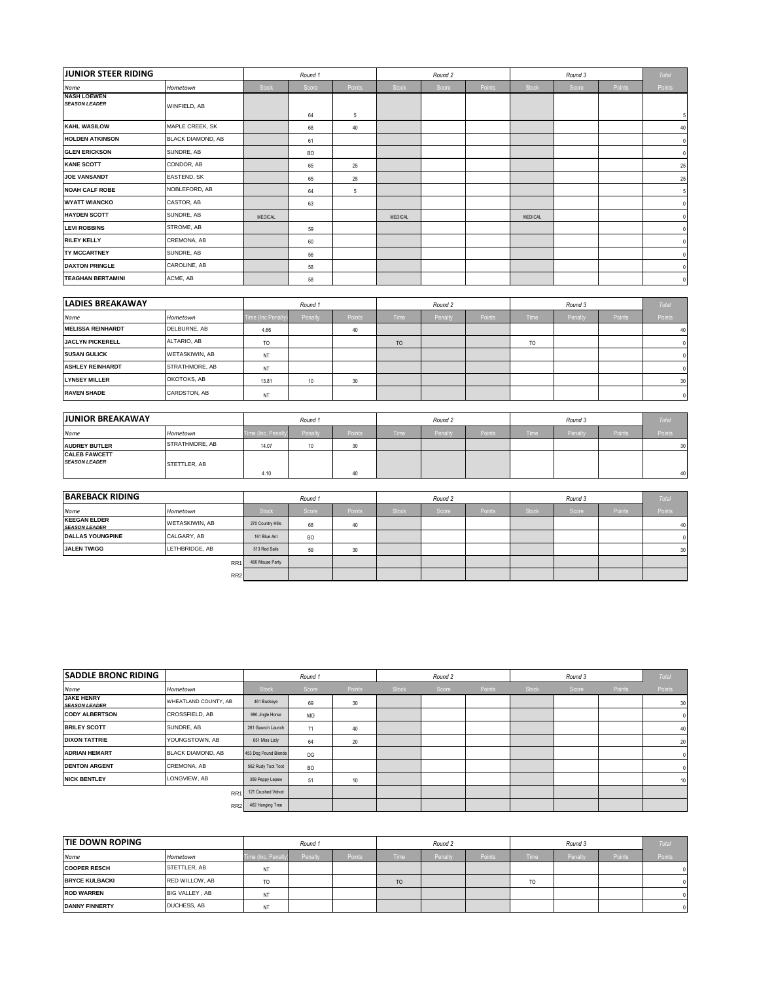| <b>JUNIOR STEER RIDING</b>                 |                          |         | Round 1   |        |         | Round 2 |        |                | Round 3 |        | Total       |
|--------------------------------------------|--------------------------|---------|-----------|--------|---------|---------|--------|----------------|---------|--------|-------------|
| Name                                       | Hometown                 | Stock   | Score     | Points | Stock   | Score   | Points | Stock          | Score   | Points | Points      |
| <b>NASH LOEWEN</b><br><b>SEASON LEADER</b> | WINFIELD, AB             |         | 64        | 5      |         |         |        |                |         |        |             |
| <b>KAHL WASILOW</b>                        | MAPLE CREEK, SK          |         | 68        | 40     |         |         |        |                |         |        | 40          |
| <b>HOLDEN ATKINSON</b>                     | <b>BLACK DIAMOND, AB</b> |         | 61        |        |         |         |        |                |         |        | $\Omega$    |
| <b>GLEN ERICKSON</b>                       | SUNDRE, AB               |         | <b>BO</b> |        |         |         |        |                |         |        | $\mathbf 0$ |
| <b>KANE SCOTT</b>                          | CONDOR, AB               |         | 65        | 25     |         |         |        |                |         |        | 25          |
| <b>JOE VANSANDT</b>                        | EASTEND, SK              |         | 65        | 25     |         |         |        |                |         |        | 25          |
| <b>NOAH CALF ROBE</b>                      | NOBLEFORD, AB            |         | 64        | 5      |         |         |        |                |         |        | 5           |
| <b>WYATT WIANCKO</b>                       | CASTOR, AB               |         | 63        |        |         |         |        |                |         |        |             |
| <b>HAYDEN SCOTT</b>                        | SUNDRE, AB               | MEDICAL |           |        | MEDICAL |         |        | <b>MEDICAL</b> |         |        |             |
| <b>LEVI ROBBINS</b>                        | STROME, AB               |         | 59        |        |         |         |        |                |         |        |             |
| <b>RILEY KELLY</b>                         | CREMONA, AB              |         | 60        |        |         |         |        |                |         |        |             |
| <b>TY MCCARTNEY</b>                        | SUNDRE, AB               |         | 56        |        |         |         |        |                |         |        |             |
| <b>DAXTON PRINGLE</b>                      | CAROLINE, AB             |         | 58        |        |         |         |        |                |         |        | $\Omega$    |
| <b>TEAGHAN BERTAMINI</b>                   | ACME, AB                 |         | 58        |        |         |         |        |                |         |        | $\mathbf 0$ |

| <b>LADIES BREAKAWAY</b>  |                       | Round 1        |         |        | Round 2     |         |        |                |                | Total  |              |
|--------------------------|-----------------------|----------------|---------|--------|-------------|---------|--------|----------------|----------------|--------|--------------|
| Name                     | Hometown              | me (Inc Penalt | Penalty | Points | <b>Time</b> | Penalty | Points | <b>Time</b>    | <b>Penalty</b> | Points | Points       |
| <b>MELISSA REINHARDT</b> | DELBURNE, AB          | 4.66           |         |        |             |         |        |                |                |        | 40           |
| <b>JACLYN PICKERELL</b>  | ALTARIO, AB           | TO             |         |        | TO          |         |        | T <sub>O</sub> |                |        |              |
| <b>SUSAN GULICK</b>      | <b>WETASKIWIN, AB</b> | NT             |         |        |             |         |        |                |                |        |              |
| <b>ASHLEY REINHARDT</b>  | STRATHMORE, AB        | NT             |         |        |             |         |        |                |                |        |              |
| <b>LYNSEY MILLER</b>     | OKOTOKS, AB           | 13.81          | 10      | 30     |             |         |        |                |                |        | 30           |
| <b>RAVEN SHADE</b>       | CARDSTON, AB          | NT             |         |        |             |         |        |                |                |        | $\mathbf{0}$ |

| <b>JUNIOR BREAKAWAY</b>                      |                | Round 1                    |                  |        | Round 2     |        |                     |                   |        | Total  |        |
|----------------------------------------------|----------------|----------------------------|------------------|--------|-------------|--------|---------------------|-------------------|--------|--------|--------|
| Name                                         | Hometown       | <b>Time (Inc. Penalty)</b> | Penalty          | Points | <b>Time</b> | Penalt | Points <sup>1</sup> | Time <sup>1</sup> | Penalt | Points | Points |
| <b>AUDREY BUTLER</b>                         | STRATHMORE, AB | 14.07                      | 10 <sup>10</sup> | $\sim$ |             |        |                     |                   |        |        | 30     |
| <b>CALEB FAWCETT</b><br><b>SEASON LEADER</b> | STETTLER, AB   | 4.10                       |                  |        |             |        |                     |                   |        |        | 40     |

| <b>BAREBACK RIDING</b>                      |                       | Round 1           |           |               | Round 2            |       |        |              |       | Total  |        |
|---------------------------------------------|-----------------------|-------------------|-----------|---------------|--------------------|-------|--------|--------------|-------|--------|--------|
| Name                                        | Hometown              | <b>Stock</b>      | Score     | Points        | Stock <sup>1</sup> | Score | Points | <b>Stock</b> | Score | Points | Points |
| <b>KEEGAN ELDER</b><br><b>SEASON LEADER</b> | <b>WETASKIWIN, AB</b> | 270 Country Hills | 68        | 40            |                    |       |        |              |       |        | 40     |
| <b>DALLAS YOUNGPINE</b>                     | CALGARY, AB           | 161 Blue Ant      | <b>BO</b> |               |                    |       |        |              |       |        |        |
| <b>JALEN TWIGG</b>                          | LETHBRIDGE, AB        | 513 Red Sails     | 59        | $\sim$<br>JU. |                    |       |        |              |       |        | 30     |
|                                             | RR <sub>1</sub>       | 460 Mouse Party   |           |               |                    |       |        |              |       |        |        |
|                                             | RR <sub>2</sub>       |                   |           |               |                    |       |        |              |       |        |        |

| <b>SADDLE BRONC RIDING</b>                |                          | Round 1              |                |                  |              | Round 2 |        |              |       | Total  |          |
|-------------------------------------------|--------------------------|----------------------|----------------|------------------|--------------|---------|--------|--------------|-------|--------|----------|
| Name                                      | Hometown                 | <b>Stock</b>         | Score          | Points           | <b>Stock</b> | Score   | Points | <b>Stock</b> | Score | Points | Points   |
| <b>JAKE HENRY</b><br><b>SEASON LEADER</b> | WHEATLAND COUNTY, AB     | 461 Buckeye          | 69             | 30               |              |         |        |              |       |        | 30       |
| <b>CODY ALBERTSON</b>                     | CROSSFIELD, AB           | 990 Jingle Horse     | MO             |                  |              |         |        |              |       |        | 0.       |
| <b>BRILEY SCOTT</b>                       | SUNDRE, AB               | 261 Gaunch Launch    | 71             | 40               |              |         |        |              |       |        | 40       |
| <b>DIXON TATTRIE</b>                      | YOUNGSTOWN, AB           | 651 Miss Lizly       | 64             | 20               |              |         |        |              |       |        | 20       |
| <b>ADRIAN HEMART</b>                      | <b>BLACK DIAMOND, AB</b> | 453 Dog Pound Blonde | DG             |                  |              |         |        |              |       |        | $\Omega$ |
| <b>DENTON ARGENT</b>                      | CREMONA, AB              | 562 Rudy Toot Toot   | B <sub>O</sub> |                  |              |         |        |              |       |        |          |
| <b>NICK BENTLEY</b>                       | LONGVIEW, AB             | 359 Peppy Lepew      | 51             | 10 <sup>10</sup> |              |         |        |              |       |        | 10       |
|                                           | <b>RR</b>                | 121 Crushed Velvet   |                |                  |              |         |        |              |       |        |          |
|                                           | RR <sub>2</sub>          | 462 Hanging Tree     |                |                  |              |         |        |              |       |        |          |

| <b>TIE DOWN ROPING</b> |                       | Round 1             |         |        | Round 2        |         |                     |             |         | <b>Total</b>        |        |
|------------------------|-----------------------|---------------------|---------|--------|----------------|---------|---------------------|-------------|---------|---------------------|--------|
| Name                   | Hometown              | Time (Inc. Penalty) | Penalty | Points | Time           | Penalty | Points <sup>1</sup> | <b>Time</b> | Penalty | Points <sup>1</sup> | Points |
| <b>COOPER RESCH</b>    | STETTLER, AB          | NT                  |         |        |                |         |                     |             |         |                     |        |
| <b>BRYCE KULBACKI</b>  | <b>RED WILLOW, AB</b> | T <sub>0</sub>      |         |        | T <sub>O</sub> |         |                     | TO          |         |                     |        |
| <b>ROD WARREN</b>      | BIG VALLEY, AB        | NT                  |         |        |                |         |                     |             |         |                     |        |
| <b>DANNY FINNERTY</b>  | DUCHESS, AB           | NT                  |         |        |                |         |                     |             |         |                     |        |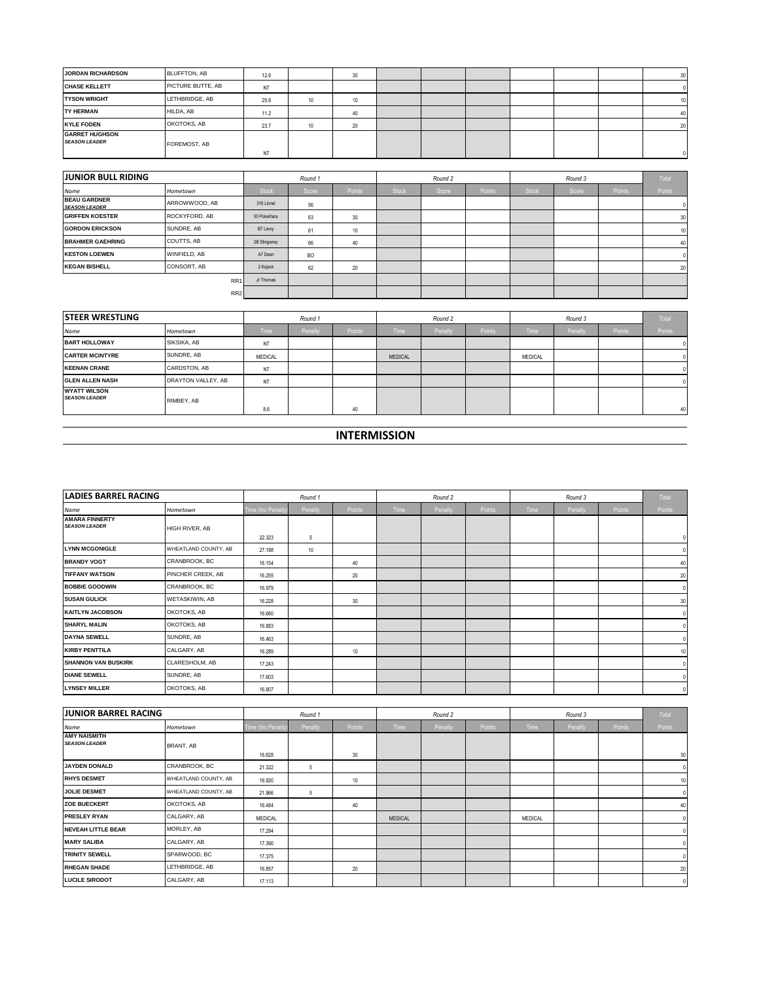| <b>JORDAN RICHARDSON</b>                      | BLUFFTON, AB      | 12.6 |    | 30 |  |  |  | 30           |
|-----------------------------------------------|-------------------|------|----|----|--|--|--|--------------|
| <b>CHASE KELLETT</b>                          | PICTURE BUTTE, AB | ΝT   |    |    |  |  |  |              |
| <b>TYSON WRIGHT</b>                           | LETHBRIDGE, AB    | 25.6 | 10 |    |  |  |  | 10           |
| <b>TY HERMAN</b>                              | HILDA, AB         | 11.2 |    | 40 |  |  |  | 40           |
| <b>KYLE FODEN</b>                             | OKOTOKS, AB       | 23.7 |    | 20 |  |  |  | 20           |
| <b>GARRET HUGHSON</b><br><b>SEASON LEADER</b> | FOREMOST, AB      | NT   |    |    |  |  |  | $\mathbf{0}$ |

| <b>JUNIOR BULL RIDING</b>                   |                 | Round 1      |                |        |              | Round 2 |        |              |       | Total         |        |
|---------------------------------------------|-----------------|--------------|----------------|--------|--------------|---------|--------|--------------|-------|---------------|--------|
| Name                                        | Hometown        | <b>Stock</b> | Score          | Points | <b>Stock</b> | Score   | Points | <b>Stock</b> | Score | <b>Points</b> | Points |
| <b>BEAU GARDNER</b><br><b>SEASON LEADER</b> | ARROWWOOD, AB   | 316 Lionel   | 56             |        |              |         |        |              |       |               |        |
| <b>GRIFFEN KOESTER</b>                      | ROCKYFORD, AB   | 50 Pokerface | 63             | 30     |              |         |        |              |       |               | 30     |
| <b>GORDON ERICKSON</b>                      | SUNDRE, AB      | B7 Leroy     | 61             | 10     |              |         |        |              |       |               | 10     |
| <b>BRAHMER GAEHRING</b>                     | COUTTS, AB      | 2B Stingwray | 66             | 40     |              |         |        |              |       |               | 40     |
| <b>KESTON LOEWEN</b>                        | WINFIELD, AB    | A7 Dean      | B <sub>O</sub> |        |              |         |        |              |       |               |        |
| <b>KEGAN BISHELL</b>                        | CONSORT, AB     | 2 Kojack     | 62             | 20     |              |         |        |              |       |               | 20     |
|                                             | RR <sub>1</sub> | Jr Thomas    |                |        |              |         |        |              |       |               |        |
|                                             | RR <sub>2</sub> |              |                |        |              |         |        |              |       |               |        |

| <b>STEER WRESTLING</b>                      |                    | Round 1     |         |               | Round 2        |         |               |                |         | <b>Total</b> |        |
|---------------------------------------------|--------------------|-------------|---------|---------------|----------------|---------|---------------|----------------|---------|--------------|--------|
| Name                                        | Hometown           | <b>Time</b> | Penalty | <b>Points</b> | <b>Time</b>    | Penalty | <b>Points</b> | <b>Time</b>    | Penalty | Points       | Points |
| <b>BART HOLLOWAY</b>                        | SIKSIKA, AB        | NT          |         |               |                |         |               |                |         |              |        |
| <b>CARTER MCINTYRE</b>                      | SUNDRE, AB         | MEDICAL     |         |               | <b>MEDICAL</b> |         |               | <b>MEDICAL</b> |         |              |        |
| <b>KEENAN CRANE</b>                         | CARDSTON, AB       | NT          |         |               |                |         |               |                |         |              |        |
| <b>GLEN ALLEN NASH</b>                      | DRAYTON VALLEY, AB | NT          |         |               |                |         |               |                |         |              |        |
| <b>WYATT WILSON</b><br><b>SEASON LEADER</b> | RIMBEY, AB         | 8.6         |         | 40            |                |         |               |                |         |              | 40     |

## **INTERMISSION**

| <b>LADIES BARREL RACING</b>                   |                      |                    | Round 1 |        |      | Round 2 |        |      | Round 3 |        | Total    |
|-----------------------------------------------|----------------------|--------------------|---------|--------|------|---------|--------|------|---------|--------|----------|
| Name                                          | Hometown             | Time (Inc Penalty) | Penalty | Points | Time | Penalty | Points | Time | Penalty | Points | Points   |
| <b>AMARA FINNERTY</b><br><b>SEASON LEADER</b> | HIGH RIVER, AB       |                    |         |        |      |         |        |      |         |        |          |
|                                               |                      | 22,323             | 5       |        |      |         |        |      |         |        | $\theta$ |
| <b>LYNN MCGONIGLE</b>                         | WHEATLAND COUNTY, AB | 27.198             | 10      |        |      |         |        |      |         |        |          |
| <b>BRANDY VOGT</b>                            | CRANBROOK, BC        | 16.154             |         | 40     |      |         |        |      |         |        | 40       |
| <b>TIFFANY WATSON</b>                         | PINCHER CREEK, AB    | 16.255             |         | 20     |      |         |        |      |         |        | 20       |
| <b>BOBBIE GOODWIN</b>                         | CRANBROOK, BC        | 16.979             |         |        |      |         |        |      |         |        |          |
| <b>SUSAN GULICK</b>                           | WETASKIWIN, AB       | 16.228             |         | 30     |      |         |        |      |         |        | 30       |
| <b>KAITLYN JACOBSON</b>                       | OKOTOKS, AB          | 16.660             |         |        |      |         |        |      |         |        |          |
| <b>SHARYL MALIN</b>                           | OKOTOKS, AB          | 16.883             |         |        |      |         |        |      |         |        |          |
| <b>DAYNA SEWELL</b>                           | SUNDRE, AB           | 16.463             |         |        |      |         |        |      |         |        |          |
| <b>KIRBY PENTTILA</b>                         | CALGARY, AB          | 16.289             |         | 10     |      |         |        |      |         |        | 10       |
| <b>SHANNON VAN BUSKIRK</b>                    | CLARESHOLM, AB       | 17.243             |         |        |      |         |        |      |         |        |          |
| <b>DIANE SEWELL</b>                           | SUNDRE, AB           | 17.603             |         |        |      |         |        |      |         |        |          |
| <b>LYNSEY MILLER</b>                          | OKOTOKS, AB          | 16.807             |         |        |      |         |        |      |         |        |          |

| <b>JUNIOR BARREL RACING</b>                 |                      |                  | Round 1 |        |                | Round 2 |        |             | Round 3 |        | Total       |
|---------------------------------------------|----------------------|------------------|---------|--------|----------------|---------|--------|-------------|---------|--------|-------------|
| Name                                        | Hometown             | Time (Inc Penalt | Penalty | Points | Time           | Penalty | Points | <b>Time</b> | Penalty | Points | Points      |
| <b>AMY NAISMITH</b><br><b>SEASON LEADER</b> | BRANT, AB            |                  |         |        |                |         |        |             |         |        |             |
|                                             |                      | 16.628           |         | 30     |                |         |        |             |         |        | 30          |
| <b>JAYDEN DONALD</b>                        | CRANBROOK, BC        | 21.322           | 5       |        |                |         |        |             |         |        | $\Omega$    |
| <b>RHYS DESMET</b>                          | WHEATLAND COUNTY, AB | 16.920           |         | 10     |                |         |        |             |         |        | 10          |
| <b>JOLIE DESMET</b>                         | WHEATLAND COUNTY, AB | 21.966           | 5       |        |                |         |        |             |         |        | $\Omega$    |
| <b>ZOE BUECKERT</b>                         | OKOTOKS, AB          | 16.484           |         | 40     |                |         |        |             |         |        | 40          |
| <b>PRESLEY RYAN</b>                         | CALGARY, AB          | <b>MEDICAL</b>   |         |        | <b>MEDICAL</b> |         |        | MEDICAL     |         |        |             |
| <b>NEVEAH LITTLE BEAR</b>                   | MORLEY, AB           | 17.294           |         |        |                |         |        |             |         |        |             |
| <b>MARY SALIBA</b>                          | CALGARY, AB          | 17,390           |         |        |                |         |        |             |         |        |             |
| <b>TRINITY SEWELL</b>                       | SPARWOOD, BC         | 17.375           |         |        |                |         |        |             |         |        |             |
| <b>RHEGAN SHADE</b>                         | LETHBRIDGE, AB       | 16.857           |         | 20     |                |         |        |             |         |        | 20          |
| <b>LUCILE SIRODOT</b>                       | CALGARY, AB          | 17.113           |         |        |                |         |        |             |         |        | $\mathbf 0$ |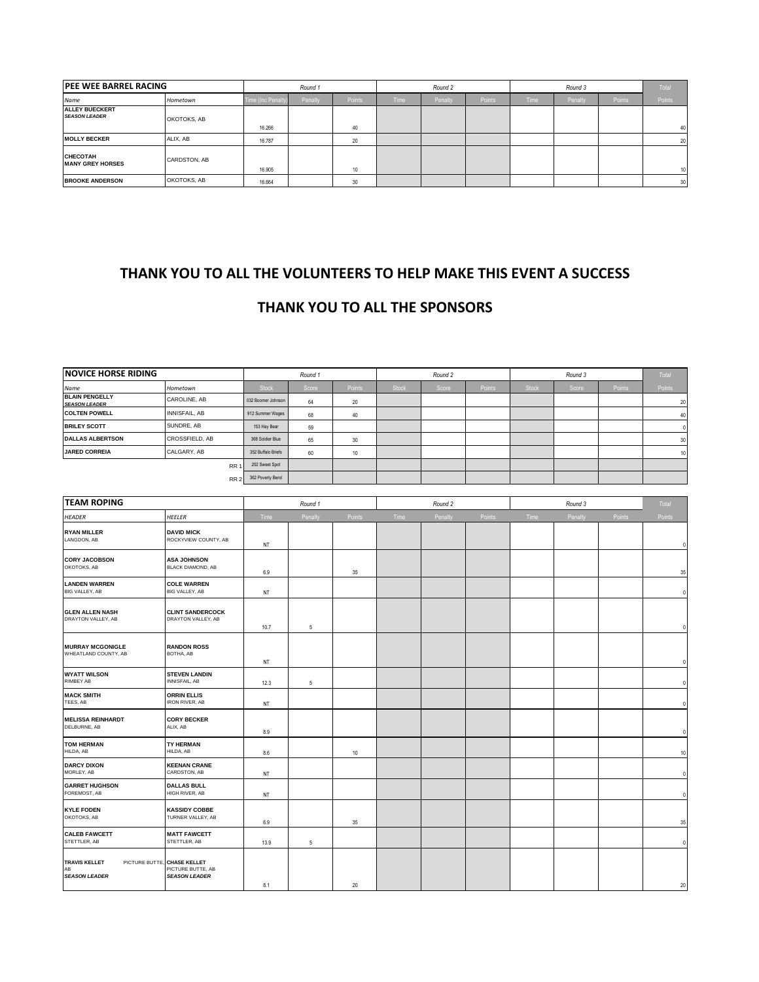| <b>IPEE WEE BARREL RACING</b>                 |              | Round 1            |         |        | Round 2     |                |               |             |         | Total         |        |
|-----------------------------------------------|--------------|--------------------|---------|--------|-------------|----------------|---------------|-------------|---------|---------------|--------|
| Name                                          | Hometown     | Time (Inc Penalty) | Penalty | Points | <b>Time</b> | <b>Penalty</b> | <b>Points</b> | <b>Time</b> | Penalty | <b>Points</b> | Points |
| <b>ALLEY BUECKERT</b><br><b>SEASON LEADER</b> | OKOTOKS, AB  |                    |         |        |             |                |               |             |         |               |        |
|                                               |              | 16.266             |         | 40     |             |                |               |             |         |               | 40     |
| <b>MOLLY BECKER</b>                           | ALIX, AB     | 16.787             |         | 20     |             |                |               |             |         |               | 20     |
| <b>CHECOTAH</b><br><b>MANY GREY HORSES</b>    | CARDSTON, AB | 16.905             |         | 10     |             |                |               |             |         |               | 10     |
| <b>BROOKE ANDERSON</b>                        | OKOTOKS, AB  | 16.664             |         | 30     |             |                |               |             |         |               | 30     |

## **THANK YOU TO ALL THE VOLUNTEERS TO HELP MAKE THIS EVENT A SUCCESS**

## **THANK YOU TO ALL THE SPONSORS**

| <b>NOVICE HORSE RIDING</b>                    |                                           | Round 1            |         |         | Round 2      |         |         | Round 3      |         |        | Total       |
|-----------------------------------------------|-------------------------------------------|--------------------|---------|---------|--------------|---------|---------|--------------|---------|--------|-------------|
| Name                                          | Hometown                                  | <b>Stock</b>       | Score   | Points  | <b>Stock</b> | Score   | Points  | <b>Stock</b> | Score   | Points | Points      |
| <b>BLAIN PENGELLY</b><br><b>SEASON LEADER</b> | CAROLINE, AB                              | 032 Boomer Johnson | 64      | 20      |              |         |         |              |         |        | 20          |
| <b>COLTEN POWELL</b>                          | INNISFAIL, AB                             | 912 Summer Wages   | 68      | 40      |              |         |         |              |         |        | 40          |
| <b>BRILEY SCOTT</b>                           | SUNDRE, AB                                | 153 Hay Bear       | 59      |         |              |         |         |              |         |        | $\mathbf 0$ |
| <b>DALLAS ALBERTSON</b>                       | CROSSFIELD, AB                            | 368 Soldier Blue   | 65      | 30      |              |         |         |              |         |        | 30          |
| <b>JARED CORREIA</b>                          | CALGARY, AB                               | 352 Buffalo Briefs | 60      | 10      |              |         |         |              |         |        | 10          |
| RR <sup>1</sup>                               |                                           | 202 Sweet Spot     |         |         |              |         |         |              |         |        |             |
| RR <sub>2</sub>                               |                                           | 362 Poverty Bend   |         |         |              |         |         |              |         |        |             |
|                                               |                                           |                    |         |         |              |         |         |              |         |        |             |
| <b>TEAM ROPING</b>                            |                                           | Round 1            |         | Round 2 |              |         | Round 3 |              |         | Total  |             |
| <b>HEADER</b>                                 | <b>HEELER</b>                             | Time               | Penalty | Points  | Time         | Penalty | Points  | Time         | Penalty | Points | Points      |
| <b>RYAN MILLER</b><br>LANGDON, AB             | <b>DAVID MICK</b><br>ROCKYVIEW COUNTY, AB | NT                 |         |         |              |         |         |              |         |        | $\mathbf 0$ |
| <b>BABY 118888411</b>                         |                                           |                    |         |         |              |         |         |              |         |        |             |

| LANGDON, AB                                        | ROCKYVIEW COUNTY, AB                                                     | NT   |            |    |  |  |  | $\mathbf 0$ |
|----------------------------------------------------|--------------------------------------------------------------------------|------|------------|----|--|--|--|-------------|
| <b>CORY JACOBSON</b><br>OKOTOKS, AB                | <b>ASA JOHNSON</b><br><b>BLACK DIAMOND, AB</b>                           | 6.9  |            | 35 |  |  |  | 35          |
| <b>LANDEN WARREN</b><br>BIG VALLEY, AB             | <b>COLE WARREN</b><br>BIG VALLEY, AB                                     | NT   |            |    |  |  |  | $\mathbf 0$ |
| <b>GLEN ALLEN NASH</b><br>DRAYTON VALLEY, AB       | <b>CLINT SANDERCOCK</b><br>DRAYTON VALLEY, AB                            | 10.7 | 5          |    |  |  |  | $\Omega$    |
| <b>MURRAY MCGONIGLE</b><br>WHEATLAND COUNTY, AB    | <b>RANDON ROSS</b><br>BOTHA, AB                                          | NT   |            |    |  |  |  |             |
| <b>WYATT WILSON</b><br>RIMBEY AB                   | <b>STEVEN LANDIN</b><br>INNISFAIL, AB                                    | 12.3 | $\sqrt{5}$ |    |  |  |  | $\Omega$    |
| <b>MACK SMITH</b><br>TEES, AB                      | <b>ORRIN ELLIS</b><br><b>IRON RIVER, AB</b>                              | NT   |            |    |  |  |  | $\Omega$    |
| <b>MELISSA REINHARDT</b><br>DELBURNE, AB           | <b>CORY BECKER</b><br>ALIX, AB                                           | 8.9  |            |    |  |  |  | n           |
| <b>TOM HERMAN</b><br>HILDA, AB                     | <b>TY HERMAN</b><br>HILDA, AB                                            | 8.6  |            | 10 |  |  |  | 10          |
| <b>DARCY DIXON</b><br>MORLEY, AB                   | <b>KEENAN CRANE</b><br>CARDSTON, AB                                      | NT   |            |    |  |  |  | $\theta$    |
| <b>GARRET HUGHSON</b><br>FOREMOST, AB              | <b>DALLAS BULL</b><br>HIGH RIVER, AB                                     | NT   |            |    |  |  |  | $\Omega$    |
| <b>KYLE FODEN</b><br>OKOTOKS, AB                   | <b>KASSIDY COBBE</b><br>TURNER VALLEY, AB                                | 6.9  |            | 35 |  |  |  | 35          |
| <b>CALEB FAWCETT</b><br>STETTLER, AB               | <b>MATT FAWCETT</b><br>STETTLER, AB                                      | 13.9 | $\sqrt{5}$ |    |  |  |  | $\mathbf 0$ |
| <b>TRAVIS KELLET</b><br>AB<br><b>SEASON LEADER</b> | PICTURE BUTTE, CHASE KELLET<br>PICTURE BUTTE, AB<br><b>SEASON LEADER</b> | 8.1  |            | 20 |  |  |  | 20          |